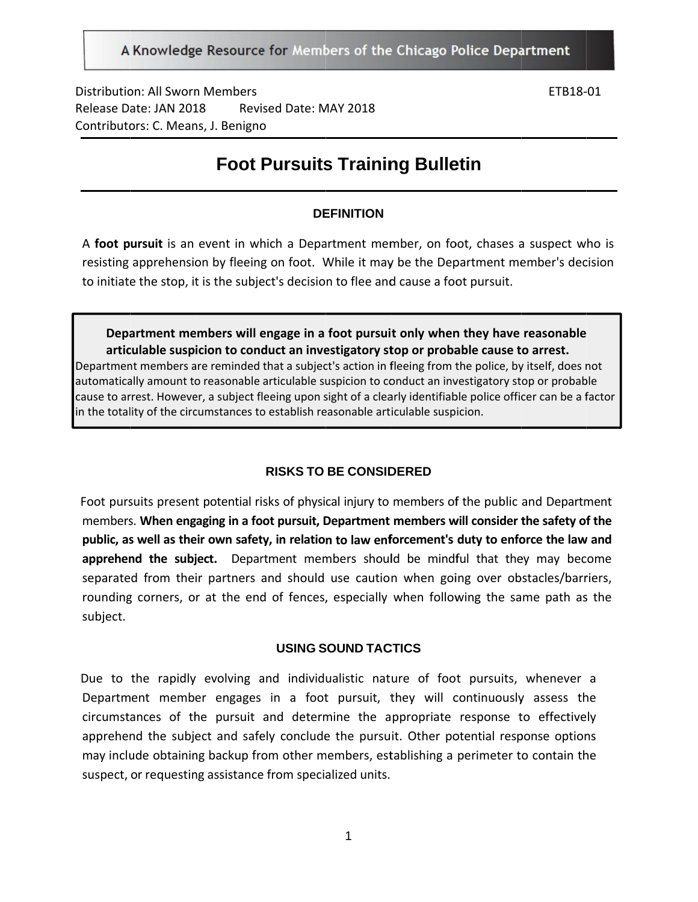A Knowledge Resource for Members of the Chicago Police Department

Distribution: All Sworn Members Release D ate: JAN 201 Contributors: C. Means, J. Benigno 18 Revised Date: MAY 2018

ETB18‐ 01

# **Foot Pursuits Training Bulletin**

### **DE EFINITION**

A foot pursuit is an event in which a Department member, on foot, chases a suspect who is resisting apprehension by fleeing on foot. While it may be the Department member's decision to initiate the stop, it is the subject's decision to flee and cause a foot pursuit.

**Department members will engage in a foot pursuit only when they have reasonable** articulable suspicion to conduct an investigatory stop or probable cause to arrest. Department members are reminded that a subject's action in fleeing from the police, by itself, does not automatically amount to reasonable articulable suspicion to conduct an investigatory stop or probable cause to arrest. However, a subject fleeing upon sight of a clearly identifiable police officer can be a factor in the totality of the circumstances to establish reasonable articulable suspicion.

#### **RISKS TO BE CONSIDERED**

Foot pursuits present potential risks of physical injury to members of the public and Department members. When engaging in a foot pursuit, Department members will consider the safety of the public, as well as their own safety, in relation to law enforcement's duty to enforce the law and apprehend the subject. Department members should be mindful that they may become separated from their partners and should use caution when going over obstacles/barriers, rounding corners, or at the end of fences, especially when following the same path as the subject.

#### USING SOUND TACTICS

Due to the rapidly evolving and individualistic nature of foot pursuits, whenever a Department member engages in a foot pursuit, they will continuously assess the circumstances of the pursuit and determine the appropriate response to effectively apprehend the subject and safely conclude the pursuit. Other potential response options may include obtaining backup from other members, establishing a perimeter to contain the suspect, or requesting assistance from specialized units.